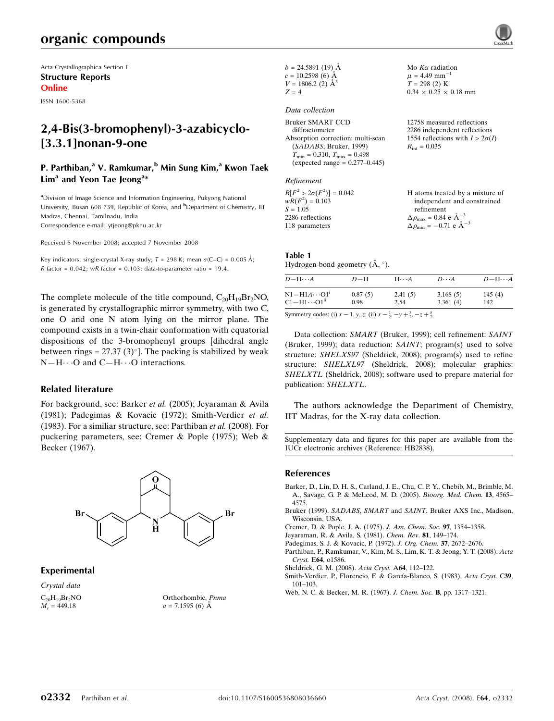# organic compounds

Acta Crystallographica Section E Structure Reports Online

ISSN 1600-5368

## 2,4-Bis(3-bromophenyl)-3-azabicyclo- [3.3.1]nonan-9-one

## P. Parthiban,<sup>a</sup> V. Ramkumar,<sup>b</sup> Min Sung Kim,<sup>a</sup> Kwon Taek Lim<sup>a</sup> and Yeon Tae Jeong<sup>a\*</sup>

<sup>a</sup>Division of Image Science and Information Engineering, Pukyong National University, Busan 608 739, Republic of Korea, and <sup>b</sup>Department of Chemistry, IIT Madras, Chennai, Tamilnadu, India Correspondence e-mail: ytjeong@pknu.ac.kr

Received 6 November 2008; accepted 7 November 2008

Key indicators: single-crystal X-ray study;  $T = 298$  K; mean  $\sigma$ (C–C) = 0.005 Å; R factor =  $0.042$ ; wR factor =  $0.103$ ; data-to-parameter ratio = 19.4.

The complete molecule of the title compound,  $C_{20}H_{19}Br_2NO$ , is generated by crystallographic mirror symmetry, with two C, one O and one N atom lying on the mirror plane. The compound exists in a twin-chair conformation with equatorial dispositions of the 3-bromophenyl groups [dihedral angle between rings = 27.37 (3) $^{\circ}$ ]. The packing is stabilized by weak  $N-H\cdots$ O and  $C-H\cdots$ O interactions.

#### Related literature

For background, see: Barker et al. (2005); Jeyaraman & Avila (1981); Padegimas & Kovacic (1972); Smith-Verdier et al. (1983). For a similiar structure, see: Parthiban et al. (2008). For puckering parameters, see: Cremer & Pople (1975); Web & Becker (1967).



#### Experimental

Crystal data  $C_{20}H_{19}Br_2NO$  $M_r = 449.18$ 



| $b = 24.5891(19)$ Å      |
|--------------------------|
| $c = 10.2598(6)$ Å       |
| $V = 1806.2$ (2) $\AA^3$ |
| $Z = 4$                  |

#### Data collection

Bruker SMART CCD diffractometer Absorption correction: multi-scan (SADABS; Bruker, 1999)  $T_{\text{min}} = 0.310, T_{\text{max}} = 0.498$  $(expected range = 0.277 - 0.445)$ 

#### Refinement

 $R[F^2 > 2\sigma(F^2)] = 0.042$ <br>  $wR(F^2) = 0.103$  $S = 1.05$ 2286 reflections 118 parameters H atoms treated by a mixture of independent and constrained refinement  $\Delta\rho_\text{max} = 0.84$ e Å $^{-3}$  $\Delta\rho_\mathrm{min}=-0.71$ e Å $^{-3}$ 

Mo  $K\alpha$  radiation  $\mu$  = 4.49 mm<sup>-1</sup>  $T = 298$  (2) K  $0.34 \times 0.25 \times 0.18$  mm

 $R_{\text{int}} = 0.035$ 

12758 measured reflections 2286 independent reflections 1554 reflections with  $I > 2\sigma(I)$ 

#### Table 1

Hydrogen-bond geometry  $(\mathring{A}, \degree)$ .

| $D - H \cdots A$                  | $D-H$   | $H \cdots A$ | $D\cdots A$ | $D$ -H $\cdots$ A |
|-----------------------------------|---------|--------------|-------------|-------------------|
| $N1 - H1A \cdots 01^i$            | 0.87(5) | 2.41(5)      | 3.168(5)    | 145(4)            |
| $C1 - H1 \cdots O1$ <sup>ii</sup> | 0.98    | 2.54         | 3.361(4)    | 142               |

Symmetry codes: (i)  $x - 1$ ,  $y$ ,  $z$ ; (ii)  $x - \frac{1}{2}$ ,  $-y + \frac{3}{2}$ ,  $-z + \frac{5}{2}$ .

Data collection: SMART (Bruker, 1999); cell refinement: SAINT (Bruker, 1999); data reduction: SAINT; program(s) used to solve structure: SHELXS97 (Sheldrick, 2008); program(s) used to refine structure: SHELXL97 (Sheldrick, 2008); molecular graphics: SHELXTL (Sheldrick, 2008); software used to prepare material for publication: SHELXTL.

The authors acknowledge the Department of Chemistry, IIT Madras, for the X-ray data collection.

Supplementary data and figures for this paper are available from the IUCr electronic archives (Reference: HB2838).

#### References

- Barker, D., Lin, D. H. S., Carland, J. E., Chu, C. P. Y., Chebib, M., Brimble, M. A., Savage, G. P. & McLeod, M. D. (2005). Bioorg. Med. Chem. 13, 4565– 4575.
- Bruker (1999). SADABS, SMART and SAINT. Bruker AXS Inc., Madison, Wisconsin, USA.
- Cremer, D. & Pople, J. A. (1975). J. Am. Chem. Soc. 97, 1354–1358.
- Jeyaraman, R. & Avila, S. (1981). Chem. Rev. 81, 149–174.
- Padegimas, S. J. & Kovacic, P. (1972). J. Org. Chem. 37, 2672–2676.
- Parthiban, P., Ramkumar, V., Kim, M. S., Lim, K. T. & Jeong, Y. T. (2008). Acta Cryst. E64, o1586.

Sheldrick, G. M. (2008). Acta Cryst. A64, 112–122.

- Smith-Verdier, P., Florencio, F. & García-Blanco, S. (1983). Acta Cryst. C39, 101–103.
- Web, N. C. & Becker, M. R. (1967). J. Chem. Soc. B, pp. 1317–1321.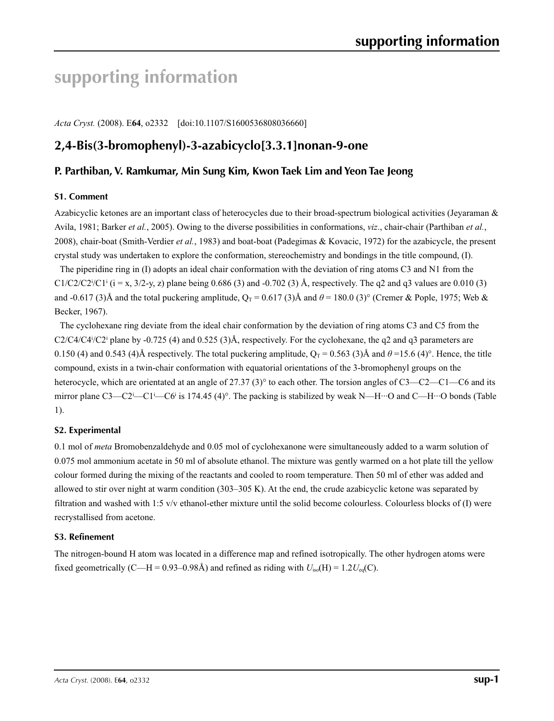# **supporting information**

*Acta Cryst.* (2008). E**64**, o2332 [doi:10.1107/S1600536808036660]

## **2,4-Bis(3-bromophenyl)-3-azabicyclo[3.3.1]nonan-9-one**

### **P. Parthiban, V. Ramkumar, Min Sung Kim, Kwon Taek Lim and Yeon Tae Jeong**

#### **S1. Comment**

Azabicyclic ketones are an important class of heterocycles due to their broad-spectrum biological activities (Jeyaraman & Avila, 1981; Barker *et al.*, 2005). Owing to the diverse possibilities in conformations, *viz*., chair-chair (Parthiban *et al.*, 2008), chair-boat (Smith-Verdier *et al.*, 1983) and boat-boat (Padegimas & Kovacic, 1972) for the azabicycle, the present crystal study was undertaken to explore the conformation, stereochemistry and bondings in the title compound, (I).

The piperidine ring in (I) adopts an ideal chair conformation with the deviation of ring atoms C3 and N1 from the  $C1/C2/C2<sup>i</sup>(C1<sup>i</sup>$  (i = x, 3/2-y, z) plane being 0.686 (3) and -0.702 (3) Å, respectively. The q2 and q3 values are 0.010 (3) and -0.617 (3)Å and the total puckering amplitude,  $Q_T = 0.617$  (3)Å and  $\theta = 180.0$  (3)° (Cremer & Pople, 1975; Web & Becker, 1967).

The cyclohexane ring deviate from the ideal chair conformation by the deviation of ring atoms C3 and C5 from the  $C2/C4/C4^i/C2^i$  plane by -0.725 (4) and 0.525 (3)Å, respectively. For the cyclohexane, the q2 and q3 parameters are 0.150 (4) and 0.543 (4)Å respectively. The total puckering amplitude,  $Q_T = 0.563$  (3)Å and  $\theta = 15.6$  (4)°. Hence, the title compound, exists in a twin-chair conformation with equatorial orientations of the 3-bromophenyl groups on the heterocycle, which are orientated at an angle of 27.37 (3)° to each other. The torsion angles of C3—C2—C1—C6 and its mirror plane C3—C2<sup>i</sup>—C1<sup>i</sup>—C6<sup>i</sup> is 174.45 (4)°. The packing is stabilized by weak N—H···O and C—H···O bonds (Table 1).

#### **S2. Experimental**

0.1 mol of *meta* Bromobenzaldehyde and 0.05 mol of cyclohexanone were simultaneously added to a warm solution of 0.075 mol ammonium acetate in 50 ml of absolute ethanol. The mixture was gently warmed on a hot plate till the yellow colour formed during the mixing of the reactants and cooled to room temperature. Then 50 ml of ether was added and allowed to stir over night at warm condition (303–305 K). At the end, the crude azabicyclic ketone was separated by filtration and washed with 1:5 v/v ethanol-ether mixture until the solid become colourless. Colourless blocks of (I) were recrystallised from acetone.

#### **S3. Refinement**

The nitrogen-bound H atom was located in a difference map and refined isotropically. The other hydrogen atoms were fixed geometrically (C—H = 0.93–0.98Å) and refined as riding with  $U_{iso}(H) = 1.2U_{eq}(C)$ .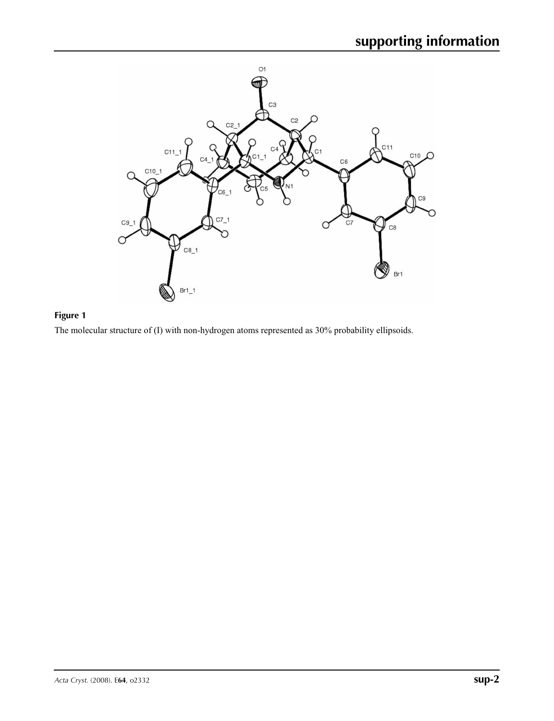

## **Figure 1**

The molecular structure of (I) with non-hydrogen atoms represented as 30% probability ellipsoids.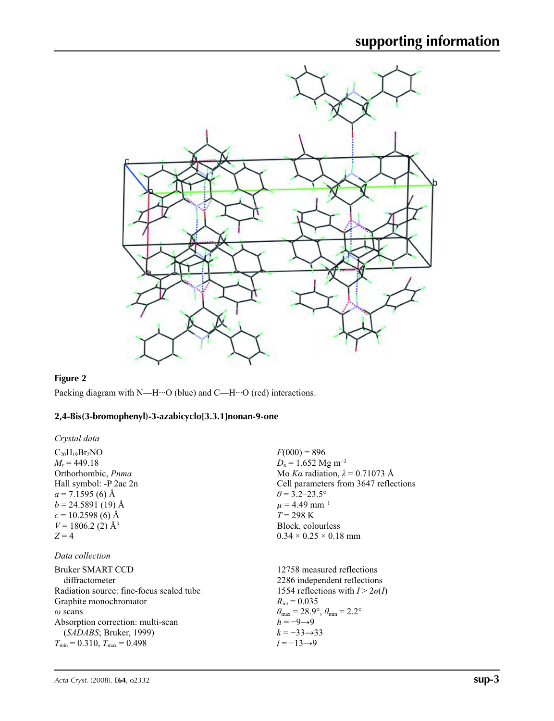

## **Figure 2**

Packing diagram with N—H···O (blue) and C—H···O (red) interactions.

# **2,4-Bis(3-bromophenyl)-3-azabicyclo[3.3.1]nonan-9-one**

| $C_{20}H_{19}Br_2NO$<br>$M_r = 449.18$<br>Orthorhombic, Pnma<br>Hall symbol: -P 2ac 2n<br>$a = 7.1595(6)$ Å<br>$b = 24.5891(19)$ Å<br>$c = 10.2598(6)$ Å<br>$V = 1806.2$ (2) Å <sup>3</sup>                                          | $F(000) = 896$<br>$D_x = 1.652$ Mg m <sup>-3</sup><br>Mo Ka radiation, $\lambda = 0.71073$ Å<br>Cell parameters from 3647 reflections<br>$\theta$ = 3.2–23.5°<br>$\mu$ = 4.49 mm <sup>-1</sup><br>$T = 298 \text{ K}$<br>Block, colourless                                 |
|--------------------------------------------------------------------------------------------------------------------------------------------------------------------------------------------------------------------------------------|----------------------------------------------------------------------------------------------------------------------------------------------------------------------------------------------------------------------------------------------------------------------------|
| $Z=4$                                                                                                                                                                                                                                | $0.34 \times 0.25 \times 0.18$ mm                                                                                                                                                                                                                                          |
| Data collection                                                                                                                                                                                                                      |                                                                                                                                                                                                                                                                            |
| Bruker SMART CCD<br>diffractometer<br>Radiation source: fine-focus sealed tube<br>Graphite monochromator<br>$\omega$ scans<br>Absorption correction: multi-scan<br>(SADABS; Bruker, 1999)<br>$T_{\min} = 0.310$ , $T_{\max} = 0.498$ | 12758 measured reflections<br>2286 independent reflections<br>1554 reflections with $I > 2\sigma(I)$<br>$R_{\text{int}} = 0.035$<br>$\theta_{\rm max}$ = 28.9°, $\theta_{\rm min}$ = 2.2°<br>$h = -9 \rightarrow 9$<br>$k = -33 \rightarrow 33$<br>$l = -13 \rightarrow 9$ |
|                                                                                                                                                                                                                                      |                                                                                                                                                                                                                                                                            |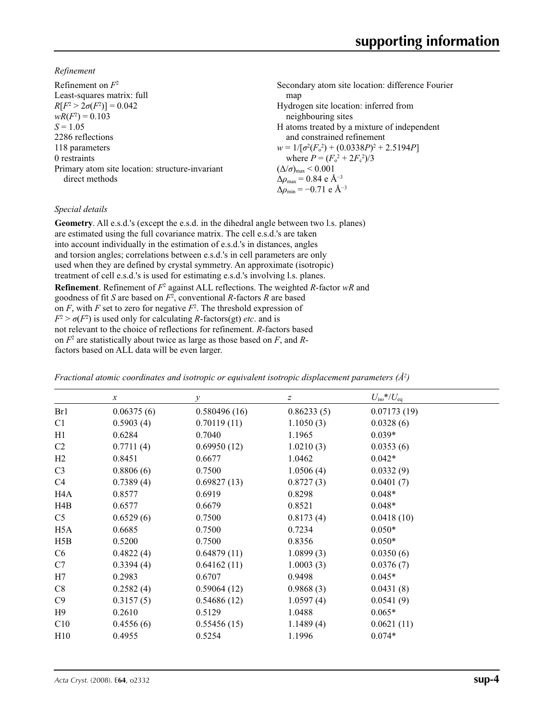*Refinement*

| Refinement on $F^2$                             | Secondary atom site location: difference Fourier   |
|-------------------------------------------------|----------------------------------------------------|
| Least-squares matrix: full                      | map                                                |
| $R[F^2 > 2\sigma(F^2)] = 0.042$                 | Hydrogen site location: inferred from              |
| $wR(F^2) = 0.103$                               | neighbouring sites                                 |
| $S = 1.05$                                      | H atoms treated by a mixture of independent        |
| 2286 reflections                                | and constrained refinement                         |
| 118 parameters                                  | $w = 1/[\sigma^2(F_0^2) + (0.0338P)^2 + 2.5194P]$  |
| 0 restraints                                    | where $P = (F_0^2 + 2F_c^2)/3$                     |
| Primary atom site location: structure-invariant | $(\Delta/\sigma)_{\text{max}}$ < 0.001             |
| direct methods                                  | $\Delta\rho_{\text{max}} = 0.84$ e Å <sup>-3</sup> |
|                                                 | $\Delta \rho_{\rm min} = -0.71$ e Å <sup>-3</sup>  |

### *Special details*

**Geometry**. All e.s.d.'s (except the e.s.d. in the dihedral angle between two l.s. planes) are estimated using the full covariance matrix. The cell e.s.d.'s are taken into account individually in the estimation of e.s.d.'s in distances, angles and torsion angles; correlations between e.s.d.'s in cell parameters are only used when they are defined by crystal symmetry. An approximate (isotropic) treatment of cell e.s.d.'s is used for estimating e.s.d.'s involving l.s. planes. **Refinement**. Refinement of  $F^2$  against ALL reflections. The weighted *R*-factor wR and goodness of fit *S* are based on *F*<sup>2</sup> , conventional *R*-factors *R* are based on  $F$ , with  $F$  set to zero for negative  $F^2$ . The threshold expression of  $F^2 > \sigma(F^2)$  is used only for calculating *R*-factors(gt) *etc*. and is not relevant to the choice of reflections for refinement. *R*-factors based on *F*<sup>2</sup> are statistically about twice as large as those based on *F*, and *R*factors based on ALL data will be even larger.

| Fractional atomic coordinates and isotropic or equivalent isotropic displacement parameters ( $\AA^2$ ) |
|---------------------------------------------------------------------------------------------------------|
|---------------------------------------------------------------------------------------------------------|

|                  | $\boldsymbol{\chi}$ | $\mathcal{Y}$ | $\boldsymbol{Z}$ | $U_{\rm iso}*/U_{\rm eq}$ |  |
|------------------|---------------------|---------------|------------------|---------------------------|--|
| Br1              | 0.06375(6)          | 0.580496(16)  | 0.86233(5)       | 0.07173(19)               |  |
| C <sub>1</sub>   | 0.5903(4)           | 0.70119(11)   | 1.1050(3)        | 0.0328(6)                 |  |
| H1               | 0.6284              | 0.7040        | 1.1965           | $0.039*$                  |  |
| C <sub>2</sub>   | 0.7711(4)           | 0.69950(12)   | 1.0210(3)        | 0.0353(6)                 |  |
| H2               | 0.8451              | 0.6677        | 1.0462           | $0.042*$                  |  |
| C <sub>3</sub>   | 0.8806(6)           | 0.7500        | 1.0506(4)        | 0.0332(9)                 |  |
| C4               | 0.7389(4)           | 0.69827(13)   | 0.8727(3)        | 0.0401(7)                 |  |
| H <sub>4</sub> A | 0.8577              | 0.6919        | 0.8298           | $0.048*$                  |  |
| H4B              | 0.6577              | 0.6679        | 0.8521           | $0.048*$                  |  |
| C <sub>5</sub>   | 0.6529(6)           | 0.7500        | 0.8173(4)        | 0.0418(10)                |  |
| H <sub>5</sub> A | 0.6685              | 0.7500        | 0.7234           | $0.050*$                  |  |
| H5B              | 0.5200              | 0.7500        | 0.8356           | $0.050*$                  |  |
| C <sub>6</sub>   | 0.4822(4)           | 0.64879(11)   | 1.0899(3)        | 0.0350(6)                 |  |
| C7               | 0.3394(4)           | 0.64162(11)   | 1.0003(3)        | 0.0376(7)                 |  |
| H7               | 0.2983              | 0.6707        | 0.9498           | $0.045*$                  |  |
| C8               | 0.2582(4)           | 0.59064(12)   | 0.9868(3)        | 0.0431(8)                 |  |
| C9               | 0.3157(5)           | 0.54686(12)   | 1.0597(4)        | 0.0541(9)                 |  |
| H9               | 0.2610              | 0.5129        | 1.0488           | $0.065*$                  |  |
| C10              | 0.4556(6)           | 0.55456(15)   | 1.1489(4)        | 0.0621(11)                |  |
| H10              | 0.4955              | 0.5254        | 1.1996           | $0.074*$                  |  |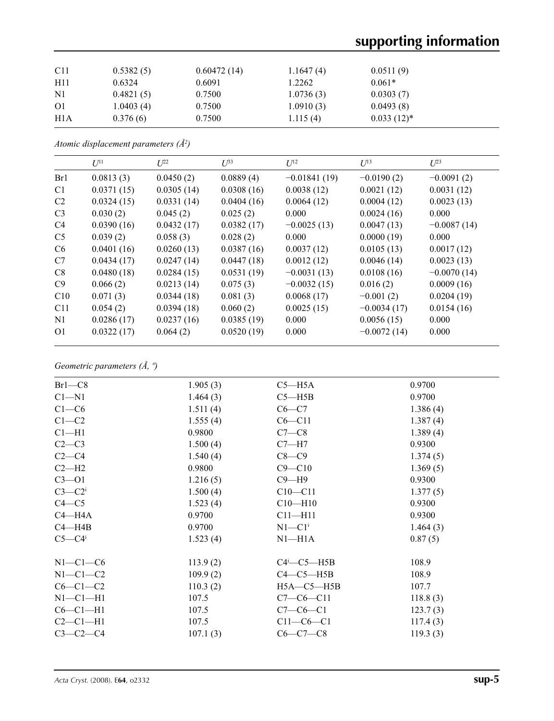# **supporting information**

| C11           | 0.5382(5) | 0.60472(14) | 1.1647(4) | 0.0511(9)     |
|---------------|-----------|-------------|-----------|---------------|
| H11           | 0.6324    | 0.6091      | 1.2262    | $0.061*$      |
| $\mathbf{N}$  | 0.4821(5) | 0.7500      | 1.0736(3) | 0.0303(7)     |
| <sup>O1</sup> | 1.0403(4) | 0.7500      | 1.0910(3) | 0.0493(8)     |
| H1A           | 0.376(6)  | 0.7500      | 1.115(4)  | $0.033(12)^*$ |

*Atomic displacement parameters (Å2 )*

|                | $U^{11}$   | $L^{22}$   | $\mathcal{L}^{\beta 3}$ | $U^{12}$       | $U^{13}$      | $L^{23}$      |
|----------------|------------|------------|-------------------------|----------------|---------------|---------------|
| Br1            | 0.0813(3)  | 0.0450(2)  | 0.0889(4)               | $-0.01841(19)$ | $-0.0190(2)$  | $-0.0091(2)$  |
| C <sub>1</sub> | 0.0371(15) | 0.0305(14) | 0.0308(16)              | 0.0038(12)     | 0.0021(12)    | 0.0031(12)    |
| C <sub>2</sub> | 0.0324(15) | 0.0331(14) | 0.0404(16)              | 0.0064(12)     | 0.0004(12)    | 0.0023(13)    |
| C <sub>3</sub> | 0.030(2)   | 0.045(2)   | 0.025(2)                | 0.000          | 0.0024(16)    | 0.000         |
| C <sub>4</sub> | 0.0390(16) | 0.0432(17) | 0.0382(17)              | $-0.0025(13)$  | 0.0047(13)    | $-0.0087(14)$ |
| C <sub>5</sub> | 0.039(2)   | 0.058(3)   | 0.028(2)                | 0.000          | 0.0000(19)    | 0.000         |
| C <sub>6</sub> | 0.0401(16) | 0.0260(13) | 0.0387(16)              | 0.0037(12)     | 0.0105(13)    | 0.0017(12)    |
| C7             | 0.0434(17) | 0.0247(14) | 0.0447(18)              | 0.0012(12)     | 0.0046(14)    | 0.0023(13)    |
| C8             | 0.0480(18) | 0.0284(15) | 0.0531(19)              | $-0.0031(13)$  | 0.0108(16)    | $-0.0070(14)$ |
| C9             | 0.066(2)   | 0.0213(14) | 0.075(3)                | $-0.0032(15)$  | 0.016(2)      | 0.0009(16)    |
| C10            | 0.071(3)   | 0.0344(18) | 0.081(3)                | 0.0068(17)     | $-0.001(2)$   | 0.0204(19)    |
| C11            | 0.054(2)   | 0.0394(18) | 0.060(2)                | 0.0025(15)     | $-0.0034(17)$ | 0.0154(16)    |
| N1             | 0.0286(17) | 0.0237(16) | 0.0385(19)              | 0.000          | 0.0056(15)    | 0.000         |
| O <sub>1</sub> | 0.0322(17) | 0.064(2)   | 0.0520(19)              | 0.000          | $-0.0072(14)$ | 0.000         |

*Geometric parameters (Å, º)*

| $Br1-C8$          | 1.905(3) | $C5 - H5A$                    | 0.9700   |
|-------------------|----------|-------------------------------|----------|
| $C1 - N1$         | 1.464(3) | $C5 - H5B$                    | 0.9700   |
| $C1-C6$           | 1.511(4) | $C6-C7$                       | 1.386(4) |
| $C1 - C2$         | 1.555(4) | $C6 - C11$                    | 1.387(4) |
| Cl <sub>–H1</sub> | 0.9800   | $C7-C8$                       | 1.389(4) |
| $C2-C3$           | 1.500(4) | $C7 - H7$                     | 0.9300   |
| $C2-C4$           | 1.540(4) | $C8-C9$                       | 1.374(5) |
| $C2-H2$           | 0.9800   | $C9 - C10$                    | 1.369(5) |
| $C3 - O1$         | 1.216(5) | $C9 - H9$                     | 0.9300   |
| $C3-C2$           | 1.500(4) | $C10 - C11$                   | 1.377(5) |
| $C4 - C5$         | 1.523(4) | $C10 - H10$                   | 0.9300   |
| $C4 - H4A$        | 0.9700   | $C11 - H11$                   | 0.9300   |
| $C4 - H4B$        | 0.9700   | $N1 - C1$ <sup>i</sup>        | 1.464(3) |
| $C5-C4$           | 1.523(4) | $N1 - H1A$                    | 0.87(5)  |
| $N1-C1-C6$        | 113.9(2) | $C4$ <sup>i</sup> - $C5$ -H5B | 108.9    |
| $N1-C1-C2$        | 109.9(2) | $C4-C5-H5B$                   | 108.9    |
| $C6-C1-C2$        | 110.3(2) | $H5A - C5 - H5B$              | 107.7    |
| $N1-C1-H1$        | 107.5    | $C7-C6-C11$                   | 118.8(3) |
| $C6-C1-H1$        | 107.5    | $C7-C6-C1$                    | 123.7(3) |
| $C2-C1-H1$        | 107.5    | $C11-C6-C1$                   | 117.4(3) |
| $C3-C2-C4$        | 107.1(3) | $C6 - C7 - C8$                | 119.3(3) |